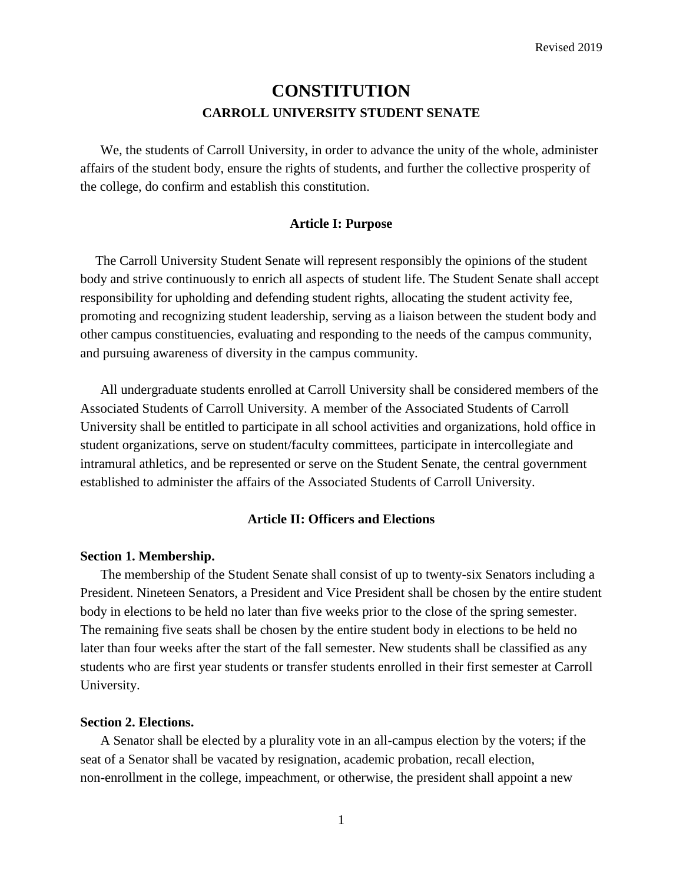# **CONSTITUTION CARROLL UNIVERSITY STUDENT SENATE**

We, the students of Carroll University, in order to advance the unity of the whole, administer affairs of the student body, ensure the rights of students, and further the collective prosperity of the college, do confirm and establish this constitution.

# **Article I: Purpose**

The Carroll University Student Senate will represent responsibly the opinions of the student body and strive continuously to enrich all aspects of student life. The Student Senate shall accept responsibility for upholding and defending student rights, allocating the student activity fee, promoting and recognizing student leadership, serving as a liaison between the student body and other campus constituencies, evaluating and responding to the needs of the campus community, and pursuing awareness of diversity in the campus community.

All undergraduate students enrolled at Carroll University shall be considered members of the Associated Students of Carroll University. A member of the Associated Students of Carroll University shall be entitled to participate in all school activities and organizations, hold office in student organizations, serve on student/faculty committees, participate in intercollegiate and intramural athletics, and be represented or serve on the Student Senate, the central government established to administer the affairs of the Associated Students of Carroll University.

# **Article II: Officers and Elections**

#### **Section 1. Membership.**

The membership of the Student Senate shall consist of up to twenty-six Senators including a President. Nineteen Senators, a President and Vice President shall be chosen by the entire student body in elections to be held no later than five weeks prior to the close of the spring semester. The remaining five seats shall be chosen by the entire student body in elections to be held no later than four weeks after the start of the fall semester. New students shall be classified as any students who are first year students or transfer students enrolled in their first semester at Carroll University.

# **Section 2. Elections.**

A Senator shall be elected by a plurality vote in an all-campus election by the voters; if the seat of a Senator shall be vacated by resignation, academic probation, recall election, non-enrollment in the college, impeachment, or otherwise, the president shall appoint a new

1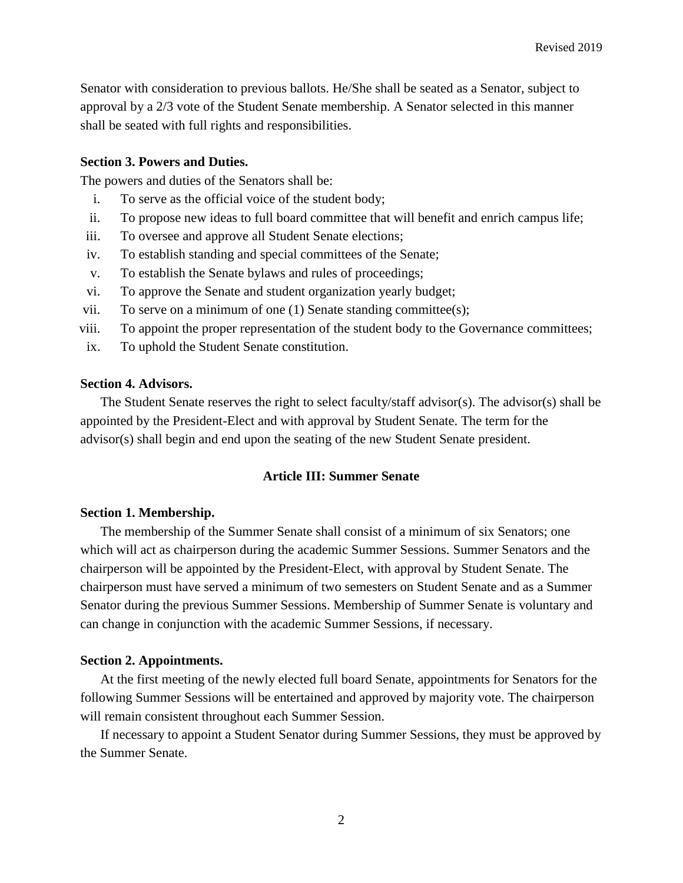Senator with consideration to previous ballots. He/She shall be seated as a Senator, subject to approval by a 2/3 vote of the Student Senate membership. A Senator selected in this manner shall be seated with full rights and responsibilities.

# **Section 3. Powers and Duties.**

The powers and duties of the Senators shall be:

- i. To serve as the official voice of the student body;
- ii. To propose new ideas to full board committee that will benefit and enrich campus life;
- iii. To oversee and approve all Student Senate elections;
- iv. To establish standing and special committees of the Senate;
- v. To establish the Senate bylaws and rules of proceedings;
- vi. To approve the Senate and student organization yearly budget;
- vii. To serve on a minimum of one (1) Senate standing committee(s);
- viii. To appoint the proper representation of the student body to the Governance committees;
- ix. To uphold the Student Senate constitution.

# **Section 4. Advisors.**

The Student Senate reserves the right to select faculty/staff advisor(s). The advisor(s) shall be appointed by the President-Elect and with approval by Student Senate. The term for the advisor(s) shall begin and end upon the seating of the new Student Senate president.

# **Article III: Summer Senate**

#### **Section 1. Membership.**

The membership of the Summer Senate shall consist of a minimum of six Senators; one which will act as chairperson during the academic Summer Sessions. Summer Senators and the chairperson will be appointed by the President-Elect, with approval by Student Senate. The chairperson must have served a minimum of two semesters on Student Senate and as a Summer Senator during the previous Summer Sessions. Membership of Summer Senate is voluntary and can change in conjunction with the academic Summer Sessions, if necessary.

#### **Section 2. Appointments.**

At the first meeting of the newly elected full board Senate, appointments for Senators for the following Summer Sessions will be entertained and approved by majority vote. The chairperson will remain consistent throughout each Summer Session.

If necessary to appoint a Student Senator during Summer Sessions, they must be approved by the Summer Senate.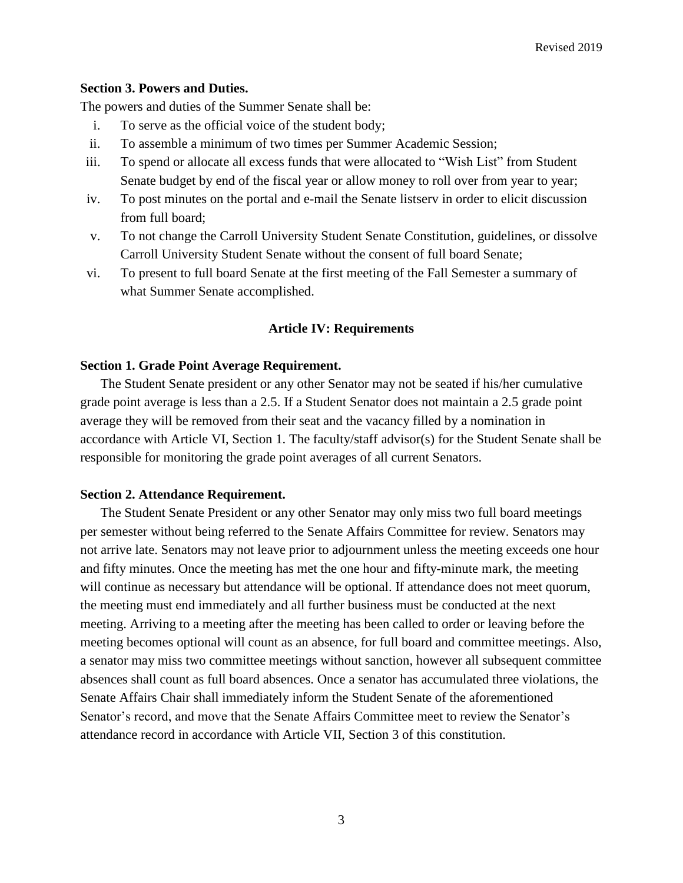# **Section 3. Powers and Duties.**

The powers and duties of the Summer Senate shall be:

- i. To serve as the official voice of the student body;
- ii. To assemble a minimum of two times per Summer Academic Session;
- iii. To spend or allocate all excess funds that were allocated to "Wish List" from Student Senate budget by end of the fiscal year or allow money to roll over from year to year;
- iv. To post minutes on the portal and e-mail the Senate listserv in order to elicit discussion from full board;
- v. To not change the Carroll University Student Senate Constitution, guidelines, or dissolve Carroll University Student Senate without the consent of full board Senate;
- vi. To present to full board Senate at the first meeting of the Fall Semester a summary of what Summer Senate accomplished.

# **Article IV: Requirements**

# **Section 1. Grade Point Average Requirement.**

The Student Senate president or any other Senator may not be seated if his/her cumulative grade point average is less than a 2.5. If a Student Senator does not maintain a 2.5 grade point average they will be removed from their seat and the vacancy filled by a nomination in accordance with Article VI, Section 1. The faculty/staff advisor(s) for the Student Senate shall be responsible for monitoring the grade point averages of all current Senators.

#### **Section 2. Attendance Requirement.**

The Student Senate President or any other Senator may only miss two full board meetings per semester without being referred to the Senate Affairs Committee for review. Senators may not arrive late. Senators may not leave prior to adjournment unless the meeting exceeds one hour and fifty minutes. Once the meeting has met the one hour and fifty-minute mark, the meeting will continue as necessary but attendance will be optional. If attendance does not meet quorum, the meeting must end immediately and all further business must be conducted at the next meeting. Arriving to a meeting after the meeting has been called to order or leaving before the meeting becomes optional will count as an absence, for full board and committee meetings. Also, a senator may miss two committee meetings without sanction, however all subsequent committee absences shall count as full board absences. Once a senator has accumulated three violations, the Senate Affairs Chair shall immediately inform the Student Senate of the aforementioned Senator's record, and move that the Senate Affairs Committee meet to review the Senator's attendance record in accordance with Article VII, Section 3 of this constitution.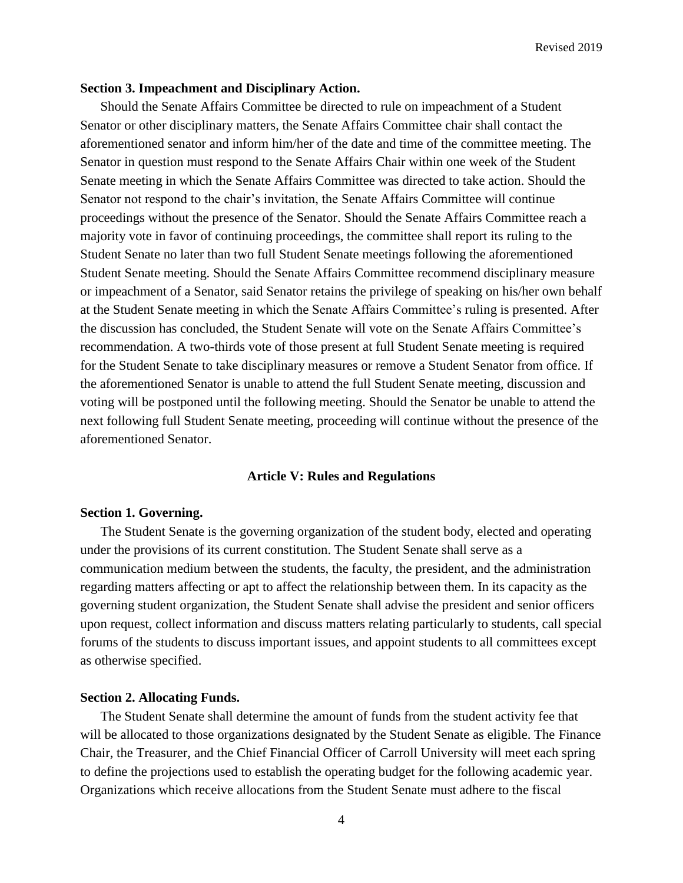#### **Section 3. Impeachment and Disciplinary Action.**

Should the Senate Affairs Committee be directed to rule on impeachment of a Student Senator or other disciplinary matters, the Senate Affairs Committee chair shall contact the aforementioned senator and inform him/her of the date and time of the committee meeting. The Senator in question must respond to the Senate Affairs Chair within one week of the Student Senate meeting in which the Senate Affairs Committee was directed to take action. Should the Senator not respond to the chair's invitation, the Senate Affairs Committee will continue proceedings without the presence of the Senator. Should the Senate Affairs Committee reach a majority vote in favor of continuing proceedings, the committee shall report its ruling to the Student Senate no later than two full Student Senate meetings following the aforementioned Student Senate meeting. Should the Senate Affairs Committee recommend disciplinary measure or impeachment of a Senator, said Senator retains the privilege of speaking on his/her own behalf at the Student Senate meeting in which the Senate Affairs Committee's ruling is presented. After the discussion has concluded, the Student Senate will vote on the Senate Affairs Committee's recommendation. A two-thirds vote of those present at full Student Senate meeting is required for the Student Senate to take disciplinary measures or remove a Student Senator from office. If the aforementioned Senator is unable to attend the full Student Senate meeting, discussion and voting will be postponed until the following meeting. Should the Senator be unable to attend the next following full Student Senate meeting, proceeding will continue without the presence of the aforementioned Senator.

#### **Article V: Rules and Regulations**

#### **Section 1. Governing.**

The Student Senate is the governing organization of the student body, elected and operating under the provisions of its current constitution. The Student Senate shall serve as a communication medium between the students, the faculty, the president, and the administration regarding matters affecting or apt to affect the relationship between them. In its capacity as the governing student organization, the Student Senate shall advise the president and senior officers upon request, collect information and discuss matters relating particularly to students, call special forums of the students to discuss important issues, and appoint students to all committees except as otherwise specified.

## **Section 2. Allocating Funds.**

The Student Senate shall determine the amount of funds from the student activity fee that will be allocated to those organizations designated by the Student Senate as eligible. The Finance Chair, the Treasurer, and the Chief Financial Officer of Carroll University will meet each spring to define the projections used to establish the operating budget for the following academic year. Organizations which receive allocations from the Student Senate must adhere to the fiscal

4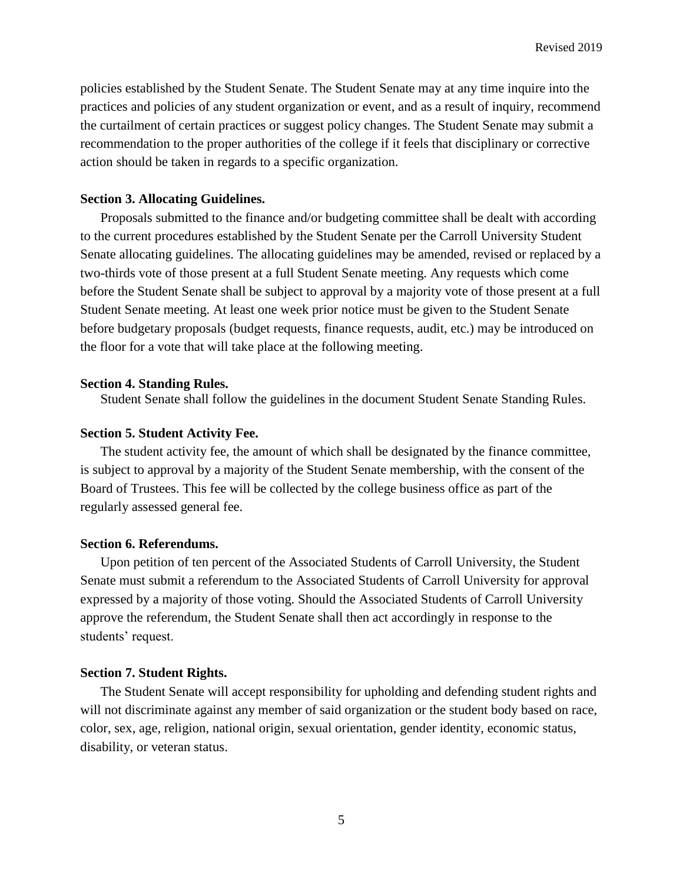policies established by the Student Senate. The Student Senate may at any time inquire into the practices and policies of any student organization or event, and as a result of inquiry, recommend the curtailment of certain practices or suggest policy changes. The Student Senate may submit a recommendation to the proper authorities of the college if it feels that disciplinary or corrective action should be taken in regards to a specific organization.

## **Section 3. Allocating Guidelines.**

Proposals submitted to the finance and/or budgeting committee shall be dealt with according to the current procedures established by the Student Senate per the Carroll University Student Senate allocating guidelines. The allocating guidelines may be amended, revised or replaced by a two-thirds vote of those present at a full Student Senate meeting. Any requests which come before the Student Senate shall be subject to approval by a majority vote of those present at a full Student Senate meeting. At least one week prior notice must be given to the Student Senate before budgetary proposals (budget requests, finance requests, audit, etc.) may be introduced on the floor for a vote that will take place at the following meeting.

## **Section 4. Standing Rules.**

Student Senate shall follow the guidelines in the document Student Senate Standing Rules.

#### **Section 5. Student Activity Fee.**

The student activity fee, the amount of which shall be designated by the finance committee, is subject to approval by a majority of the Student Senate membership, with the consent of the Board of Trustees. This fee will be collected by the college business office as part of the regularly assessed general fee.

#### **Section 6. Referendums.**

Upon petition of ten percent of the Associated Students of Carroll University, the Student Senate must submit a referendum to the Associated Students of Carroll University for approval expressed by a majority of those voting. Should the Associated Students of Carroll University approve the referendum, the Student Senate shall then act accordingly in response to the students' request.

#### **Section 7. Student Rights.**

The Student Senate will accept responsibility for upholding and defending student rights and will not discriminate against any member of said organization or the student body based on race, color, sex, age, religion, national origin, sexual orientation, gender identity, economic status, disability, or veteran status.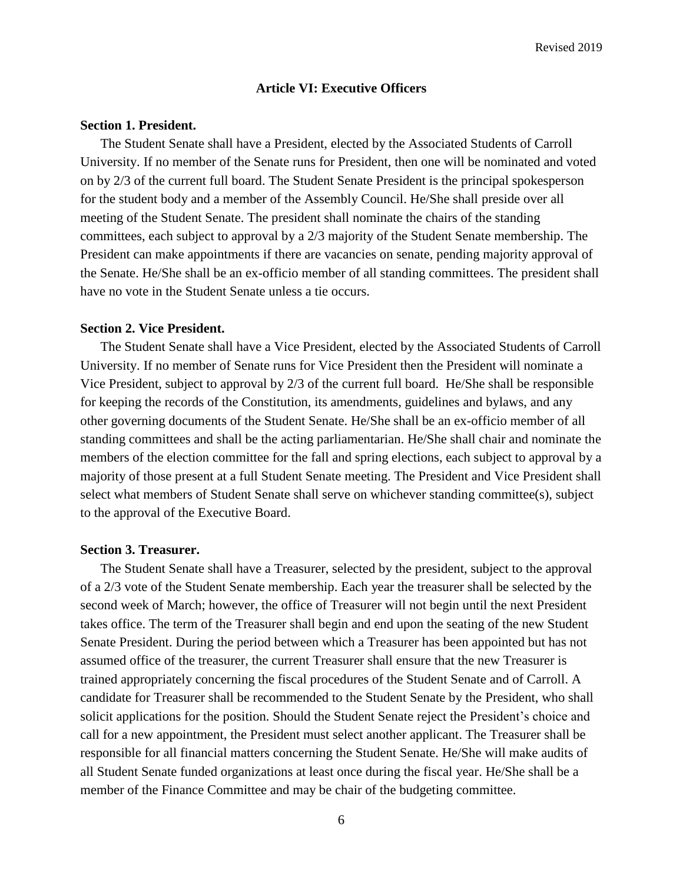# **Article VI: Executive Officers**

## **Section 1. President.**

The Student Senate shall have a President, elected by the Associated Students of Carroll University. If no member of the Senate runs for President, then one will be nominated and voted on by 2/3 of the current full board. The Student Senate President is the principal spokesperson for the student body and a member of the Assembly Council. He/She shall preside over all meeting of the Student Senate. The president shall nominate the chairs of the standing committees, each subject to approval by a 2/3 majority of the Student Senate membership. The President can make appointments if there are vacancies on senate, pending majority approval of the Senate. He/She shall be an ex-officio member of all standing committees. The president shall have no vote in the Student Senate unless a tie occurs.

## **Section 2. Vice President.**

The Student Senate shall have a Vice President, elected by the Associated Students of Carroll University. If no member of Senate runs for Vice President then the President will nominate a Vice President, subject to approval by 2/3 of the current full board. He/She shall be responsible for keeping the records of the Constitution, its amendments, guidelines and bylaws, and any other governing documents of the Student Senate. He/She shall be an ex-officio member of all standing committees and shall be the acting parliamentarian. He/She shall chair and nominate the members of the election committee for the fall and spring elections, each subject to approval by a majority of those present at a full Student Senate meeting. The President and Vice President shall select what members of Student Senate shall serve on whichever standing committee(s), subject to the approval of the Executive Board.

#### **Section 3. Treasurer.**

The Student Senate shall have a Treasurer, selected by the president, subject to the approval of a 2/3 vote of the Student Senate membership. Each year the treasurer shall be selected by the second week of March; however, the office of Treasurer will not begin until the next President takes office. The term of the Treasurer shall begin and end upon the seating of the new Student Senate President. During the period between which a Treasurer has been appointed but has not assumed office of the treasurer, the current Treasurer shall ensure that the new Treasurer is trained appropriately concerning the fiscal procedures of the Student Senate and of Carroll. A candidate for Treasurer shall be recommended to the Student Senate by the President, who shall solicit applications for the position. Should the Student Senate reject the President's choice and call for a new appointment, the President must select another applicant. The Treasurer shall be responsible for all financial matters concerning the Student Senate. He/She will make audits of all Student Senate funded organizations at least once during the fiscal year. He/She shall be a member of the Finance Committee and may be chair of the budgeting committee.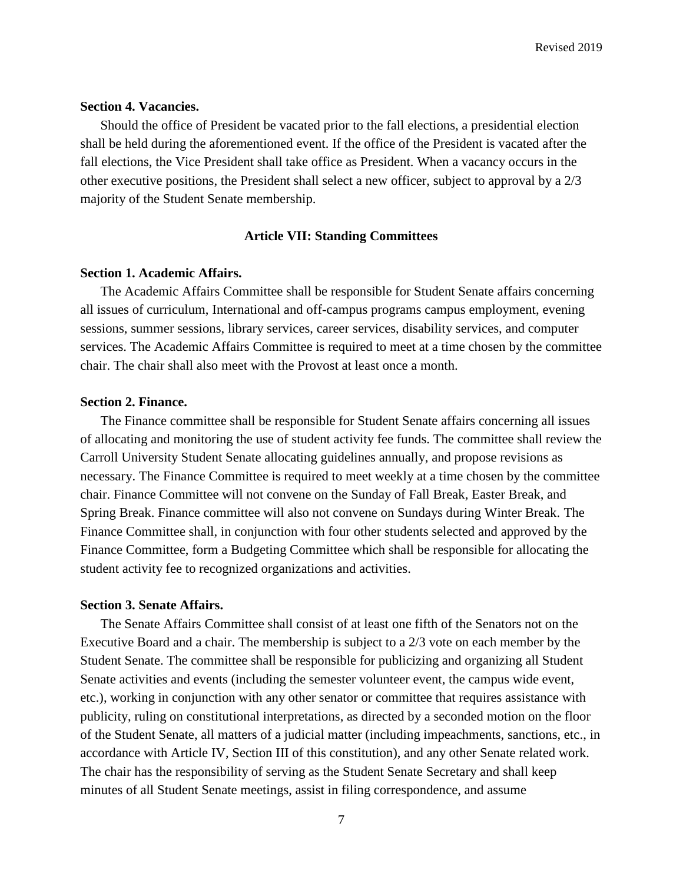# **Section 4. Vacancies.**

Should the office of President be vacated prior to the fall elections, a presidential election shall be held during the aforementioned event. If the office of the President is vacated after the fall elections, the Vice President shall take office as President. When a vacancy occurs in the other executive positions, the President shall select a new officer, subject to approval by a 2/3 majority of the Student Senate membership.

# **Article VII: Standing Committees**

## **Section 1. Academic Affairs.**

The Academic Affairs Committee shall be responsible for Student Senate affairs concerning all issues of curriculum, International and off-campus programs campus employment, evening sessions, summer sessions, library services, career services, disability services, and computer services. The Academic Affairs Committee is required to meet at a time chosen by the committee chair. The chair shall also meet with the Provost at least once a month.

## **Section 2. Finance.**

The Finance committee shall be responsible for Student Senate affairs concerning all issues of allocating and monitoring the use of student activity fee funds. The committee shall review the Carroll University Student Senate allocating guidelines annually, and propose revisions as necessary. The Finance Committee is required to meet weekly at a time chosen by the committee chair. Finance Committee will not convene on the Sunday of Fall Break, Easter Break, and Spring Break. Finance committee will also not convene on Sundays during Winter Break. The Finance Committee shall, in conjunction with four other students selected and approved by the Finance Committee, form a Budgeting Committee which shall be responsible for allocating the student activity fee to recognized organizations and activities.

#### **Section 3. Senate Affairs.**

The Senate Affairs Committee shall consist of at least one fifth of the Senators not on the Executive Board and a chair. The membership is subject to a 2/3 vote on each member by the Student Senate. The committee shall be responsible for publicizing and organizing all Student Senate activities and events (including the semester volunteer event, the campus wide event, etc.), working in conjunction with any other senator or committee that requires assistance with publicity, ruling on constitutional interpretations, as directed by a seconded motion on the floor of the Student Senate, all matters of a judicial matter (including impeachments, sanctions, etc., in accordance with Article IV, Section III of this constitution), and any other Senate related work. The chair has the responsibility of serving as the Student Senate Secretary and shall keep minutes of all Student Senate meetings, assist in filing correspondence, and assume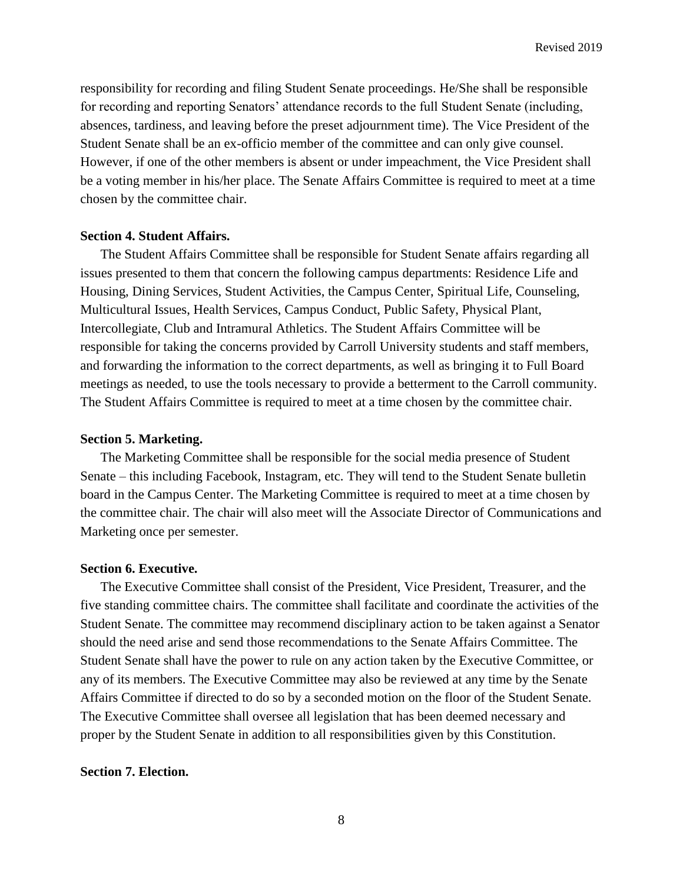responsibility for recording and filing Student Senate proceedings. He/She shall be responsible for recording and reporting Senators' attendance records to the full Student Senate (including, absences, tardiness, and leaving before the preset adjournment time). The Vice President of the Student Senate shall be an ex-officio member of the committee and can only give counsel. However, if one of the other members is absent or under impeachment, the Vice President shall be a voting member in his/her place. The Senate Affairs Committee is required to meet at a time chosen by the committee chair.

# **Section 4. Student Affairs.**

The Student Affairs Committee shall be responsible for Student Senate affairs regarding all issues presented to them that concern the following campus departments: Residence Life and Housing, Dining Services, Student Activities, the Campus Center, Spiritual Life, Counseling, Multicultural Issues, Health Services, Campus Conduct, Public Safety, Physical Plant, Intercollegiate, Club and Intramural Athletics. The Student Affairs Committee will be responsible for taking the concerns provided by Carroll University students and staff members, and forwarding the information to the correct departments, as well as bringing it to Full Board meetings as needed, to use the tools necessary to provide a betterment to the Carroll community. The Student Affairs Committee is required to meet at a time chosen by the committee chair.

#### **Section 5. Marketing.**

The Marketing Committee shall be responsible for the social media presence of Student Senate – this including Facebook, Instagram, etc. They will tend to the Student Senate bulletin board in the Campus Center. The Marketing Committee is required to meet at a time chosen by the committee chair. The chair will also meet will the Associate Director of Communications and Marketing once per semester.

### **Section 6. Executive.**

The Executive Committee shall consist of the President, Vice President, Treasurer, and the five standing committee chairs. The committee shall facilitate and coordinate the activities of the Student Senate. The committee may recommend disciplinary action to be taken against a Senator should the need arise and send those recommendations to the Senate Affairs Committee. The Student Senate shall have the power to rule on any action taken by the Executive Committee, or any of its members. The Executive Committee may also be reviewed at any time by the Senate Affairs Committee if directed to do so by a seconded motion on the floor of the Student Senate. The Executive Committee shall oversee all legislation that has been deemed necessary and proper by the Student Senate in addition to all responsibilities given by this Constitution.

## **Section 7. Election.**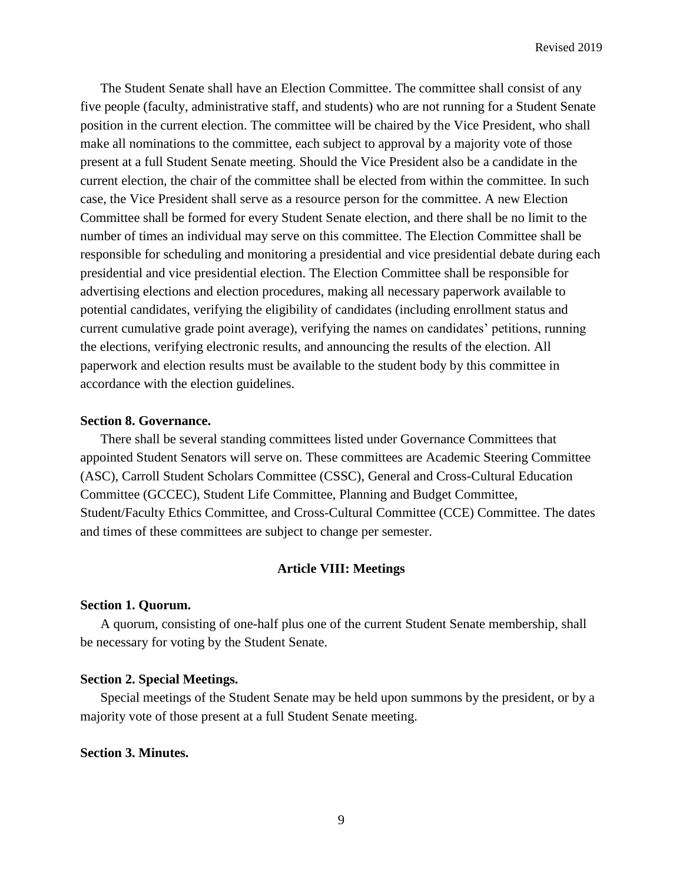The Student Senate shall have an Election Committee. The committee shall consist of any five people (faculty, administrative staff, and students) who are not running for a Student Senate position in the current election. The committee will be chaired by the Vice President, who shall make all nominations to the committee, each subject to approval by a majority vote of those present at a full Student Senate meeting. Should the Vice President also be a candidate in the current election, the chair of the committee shall be elected from within the committee. In such case, the Vice President shall serve as a resource person for the committee. A new Election Committee shall be formed for every Student Senate election, and there shall be no limit to the number of times an individual may serve on this committee. The Election Committee shall be responsible for scheduling and monitoring a presidential and vice presidential debate during each presidential and vice presidential election. The Election Committee shall be responsible for advertising elections and election procedures, making all necessary paperwork available to potential candidates, verifying the eligibility of candidates (including enrollment status and current cumulative grade point average), verifying the names on candidates' petitions, running the elections, verifying electronic results, and announcing the results of the election. All paperwork and election results must be available to the student body by this committee in accordance with the election guidelines.

## **Section 8. Governance.**

There shall be several standing committees listed under Governance Committees that appointed Student Senators will serve on. These committees are Academic Steering Committee (ASC), Carroll Student Scholars Committee (CSSC), General and Cross-Cultural Education Committee (GCCEC), Student Life Committee, Planning and Budget Committee, Student/Faculty Ethics Committee, and Cross-Cultural Committee (CCE) Committee. The dates and times of these committees are subject to change per semester.

#### **Article VIII: Meetings**

## **Section 1. Quorum.**

A quorum, consisting of one-half plus one of the current Student Senate membership, shall be necessary for voting by the Student Senate.

# **Section 2. Special Meetings.**

Special meetings of the Student Senate may be held upon summons by the president, or by a majority vote of those present at a full Student Senate meeting.

# **Section 3. Minutes.**